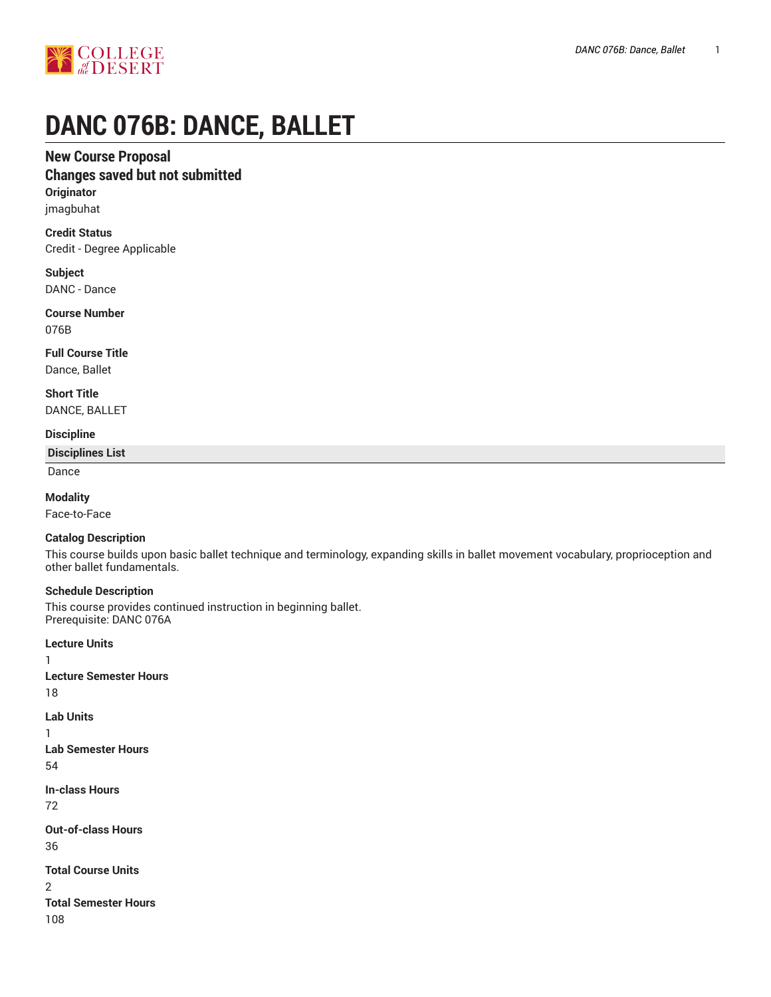

# **DANC 076B: DANCE, BALLET**

## **New Course Proposal**

# **Changes saved but not submitted**

**Originator** jmagbuhat

**Credit Status** Credit - Degree Applicable

**Subject** DANC - Dance

**Course Number** 076B

**Full Course Title** Dance, Ballet

**Short Title** DANCE, BALLET

## **Discipline**

**Disciplines List**

Dance

**Modality**

Face-to-Face

#### **Catalog Description**

This course builds upon basic ballet technique and terminology, expanding skills in ballet movement vocabulary, proprioception and other ballet fundamentals.

#### **Schedule Description**

This course provides continued instruction in beginning ballet. Prerequisite: DANC 076A

**Lecture Units** 1 **Lecture Semester Hours** 18 **Lab Units** 1 **Lab Semester Hours** 54 **In-class Hours** 72 **Out-of-class Hours** 36 **Total Course Units** 2 **Total Semester Hours** 108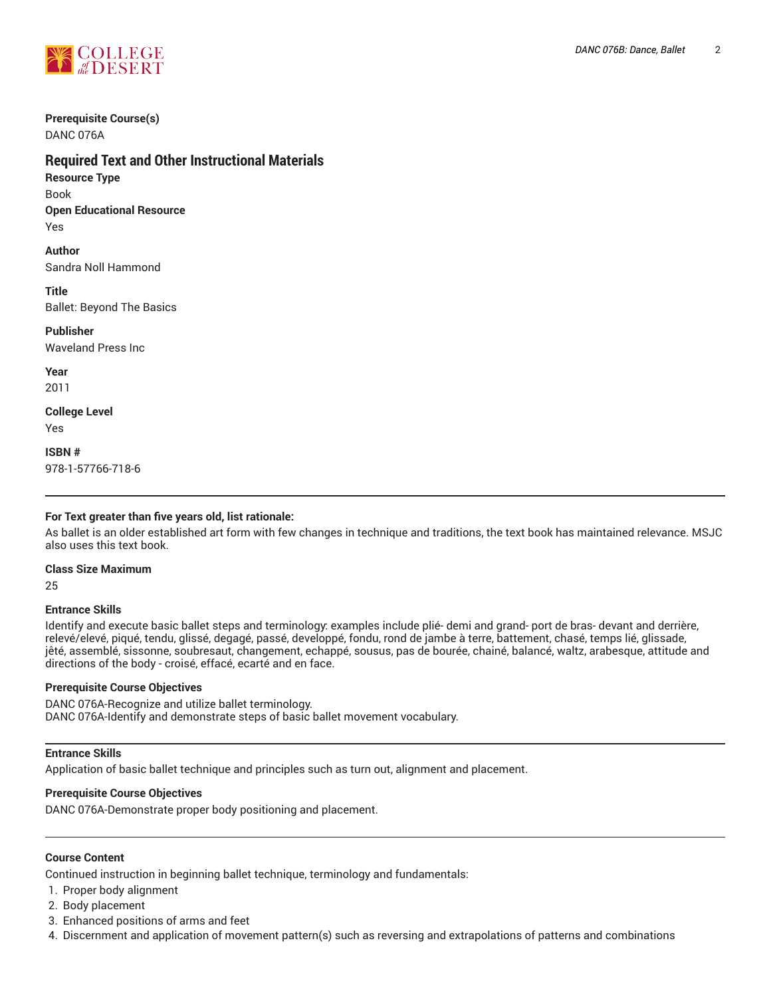

# **Prerequisite Course(s)**

DANC 076A

# **Required Text and Other Instructional Materials**

**Resource Type** Book **Open Educational Resource**

Yes

**Author** Sandra Noll Hammond

**Title**

Ballet: Beyond The Basics

**Publisher** Waveland Press Inc

**Year** 2011

**College Level** Yes

**ISBN #** 978-1-57766-718-6

## **For Text greater than five years old, list rationale:**

As ballet is an older established art form with few changes in technique and traditions, the text book has maintained relevance. MSJC also uses this text book.

#### **Class Size Maximum**

25

#### **Entrance Skills**

Identify and execute basic ballet steps and terminology: examples include plié- demi and grand- port de bras- devant and derrière, relevé/elevé, piqué, tendu, glissé, degagé, passé, developpé, fondu, rond de jambe à terre, battement, chasé, temps lié, glissade, jêté, assemblé, sissonne, soubresaut, changement, echappé, sousus, pas de bourée, chainé, balancé, waltz, arabesque, attitude and directions of the body - croisé, effacé, ecarté and en face.

#### **Prerequisite Course Objectives**

DANC 076A-Recognize and utilize ballet terminology. DANC 076A-Identify and demonstrate steps of basic ballet movement vocabulary.

#### **Entrance Skills**

Application of basic ballet technique and principles such as turn out, alignment and placement.

#### **Prerequisite Course Objectives**

DANC 076A-Demonstrate proper body positioning and placement.

## **Course Content**

Continued instruction in beginning ballet technique, terminology and fundamentals:

- 1. Proper body alignment
- 2. Body placement
- 3. Enhanced positions of arms and feet
- 4. Discernment and application of movement pattern(s) such as reversing and extrapolations of patterns and combinations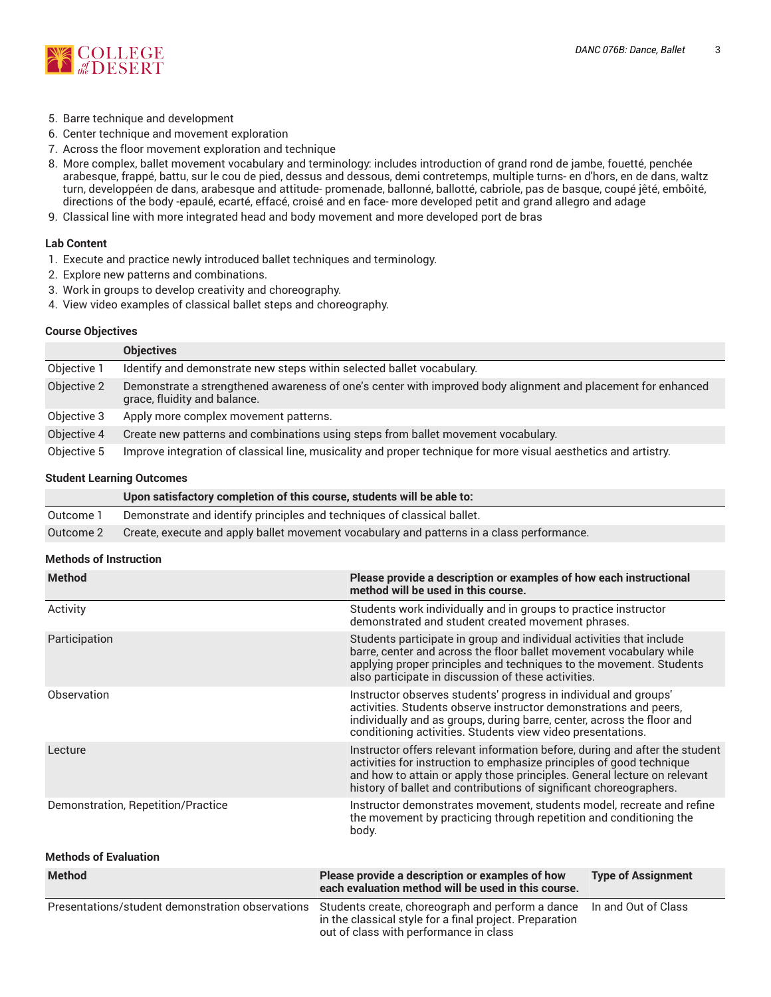

- 5. Barre technique and development
- 6. Center technique and movement exploration
- 7. Across the floor movement exploration and technique
- 8. More complex, ballet movement vocabulary and terminology: includes introduction of grand rond de jambe, fouetté, penchée arabesque, frappé, battu, sur le cou de pied, dessus and dessous, demi contretemps, multiple turns- en d'hors, en de dans, waltz turn, developpéen de dans, arabesque and attitude- promenade, ballonné, ballotté, cabriole, pas de basque, coupé jêté, embôité, directions of the body -epaulé, ecarté, effacé, croisé and en face- more developed petit and grand allegro and adage
- 9. Classical line with more integrated head and body movement and more developed port de bras

#### **Lab Content**

- 1. Execute and practice newly introduced ballet techniques and terminology.
- 2. Explore new patterns and combinations.
- 3. Work in groups to develop creativity and choreography.
- 4. View video examples of classical ballet steps and choreography.

#### **Course Objectives**

|             | <b>Objectives</b>                                                                                                                            |
|-------------|----------------------------------------------------------------------------------------------------------------------------------------------|
| Objective 1 | Identify and demonstrate new steps within selected ballet vocabulary.                                                                        |
| Objective 2 | Demonstrate a strengthened awareness of one's center with improved body alignment and placement for enhanced<br>grace, fluidity and balance. |
| Objective 3 | Apply more complex movement patterns.                                                                                                        |
| Objective 4 | Create new patterns and combinations using steps from ballet movement vocabulary.                                                            |
| Objective 5 | Improve integration of classical line, musicality and proper technique for more visual aesthetics and artistry.                              |

#### **Student Learning Outcomes**

|           | Upon satisfactory completion of this course, students will be able to:                    |
|-----------|-------------------------------------------------------------------------------------------|
| Outcome 1 | Demonstrate and identify principles and techniques of classical ballet.                   |
| Outcome 2 | Create, execute and apply ballet movement vocabulary and patterns in a class performance. |

#### **Methods of Instruction**

| <b>Method</b>                                    | Please provide a description or examples of how each instructional<br>method will be used in this course.                                                                                                                                                                                             |                           |  |
|--------------------------------------------------|-------------------------------------------------------------------------------------------------------------------------------------------------------------------------------------------------------------------------------------------------------------------------------------------------------|---------------------------|--|
| Activity                                         | Students work individually and in groups to practice instructor<br>demonstrated and student created movement phrases.                                                                                                                                                                                 |                           |  |
| Participation                                    | Students participate in group and individual activities that include<br>barre, center and across the floor ballet movement vocabulary while<br>applying proper principles and techniques to the movement. Students<br>also participate in discussion of these activities.                             |                           |  |
| Observation                                      | Instructor observes students' progress in individual and groups'<br>activities. Students observe instructor demonstrations and peers,<br>individually and as groups, during barre, center, across the floor and<br>conditioning activities. Students view video presentations.                        |                           |  |
| Lecture                                          | Instructor offers relevant information before, during and after the student<br>activities for instruction to emphasize principles of good technique<br>and how to attain or apply those principles. General lecture on relevant<br>history of ballet and contributions of significant choreographers. |                           |  |
| Demonstration, Repetition/Practice               | Instructor demonstrates movement, students model, recreate and refine<br>the movement by practicing through repetition and conditioning the<br>body.                                                                                                                                                  |                           |  |
| <b>Methods of Evaluation</b>                     |                                                                                                                                                                                                                                                                                                       |                           |  |
| <b>Method</b>                                    | Please provide a description or examples of how<br>each evaluation method will be used in this course.                                                                                                                                                                                                | <b>Type of Assignment</b> |  |
| Presentations/student demonstration observations | Students create, choreograph and perform a dance<br>in the classical style for a final project. Preparation<br>out of class with performance in class                                                                                                                                                 | In and Out of Class       |  |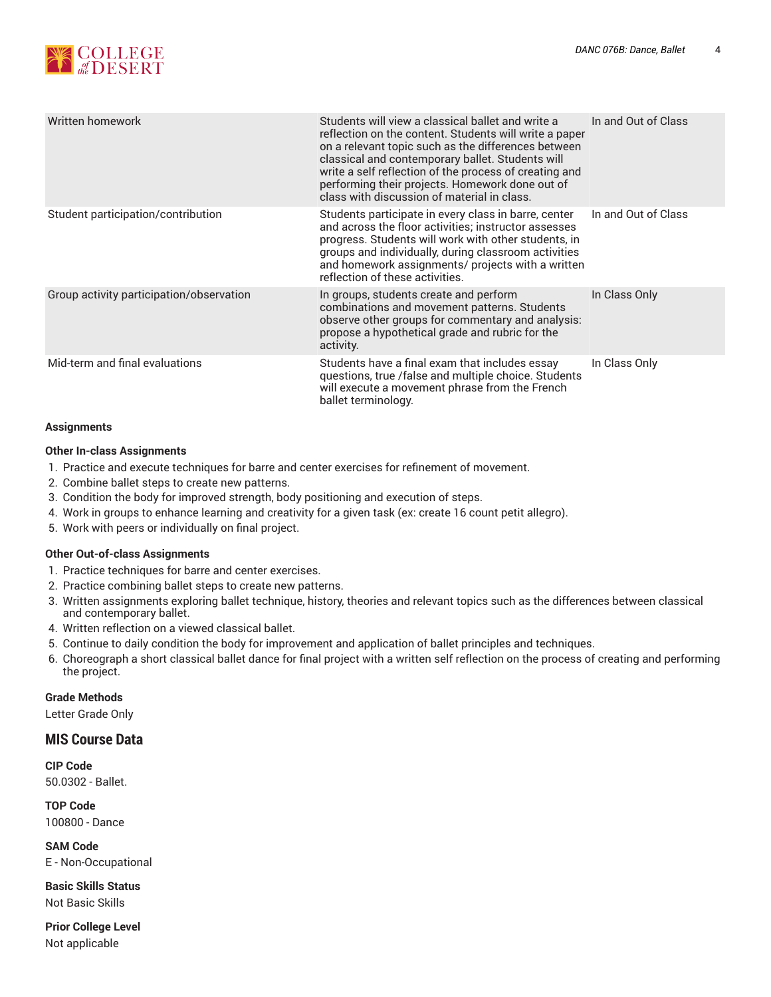

| Written homework                         | Students will view a classical ballet and write a<br>reflection on the content. Students will write a paper<br>on a relevant topic such as the differences between<br>classical and contemporary ballet. Students will<br>write a self reflection of the process of creating and<br>performing their projects. Homework done out of<br>class with discussion of material in class. | In and Out of Class |
|------------------------------------------|------------------------------------------------------------------------------------------------------------------------------------------------------------------------------------------------------------------------------------------------------------------------------------------------------------------------------------------------------------------------------------|---------------------|
| Student participation/contribution       | Students participate in every class in barre, center<br>and across the floor activities; instructor assesses<br>progress. Students will work with other students, in<br>groups and individually, during classroom activities<br>and homework assignments/ projects with a written<br>reflection of these activities.                                                               | In and Out of Class |
| Group activity participation/observation | In groups, students create and perform<br>combinations and movement patterns. Students<br>observe other groups for commentary and analysis:<br>propose a hypothetical grade and rubric for the<br>activity.                                                                                                                                                                        | In Class Only       |
| Mid-term and final evaluations           | Students have a final exam that includes essay<br>questions, true /false and multiple choice. Students<br>will execute a movement phrase from the French<br>ballet terminology.                                                                                                                                                                                                    | In Class Only       |

#### **Assignments**

#### **Other In-class Assignments**

- 1. Practice and execute techniques for barre and center exercises for refinement of movement.
- 2. Combine ballet steps to create new patterns.
- 3. Condition the body for improved strength, body positioning and execution of steps.
- 4. Work in groups to enhance learning and creativity for a given task (ex: create 16 count petit allegro).
- 5. Work with peers or individually on final project.

#### **Other Out-of-class Assignments**

- 1. Practice techniques for barre and center exercises.
- 2. Practice combining ballet steps to create new patterns.
- 3. Written assignments exploring ballet technique, history, theories and relevant topics such as the differences between classical and contemporary ballet.
- 4. Written reflection on a viewed classical ballet.
- 5. Continue to daily condition the body for improvement and application of ballet principles and techniques.
- 6. Choreograph a short classical ballet dance for final project with a written self reflection on the process of creating and performing the project.

#### **Grade Methods**

Letter Grade Only

## **MIS Course Data**

**CIP Code** 50.0302 - Ballet.

#### **TOP Code**

100800 - Dance

**SAM Code** E - Non-Occupational

**Basic Skills Status** Not Basic Skills

**Prior College Level** Not applicable